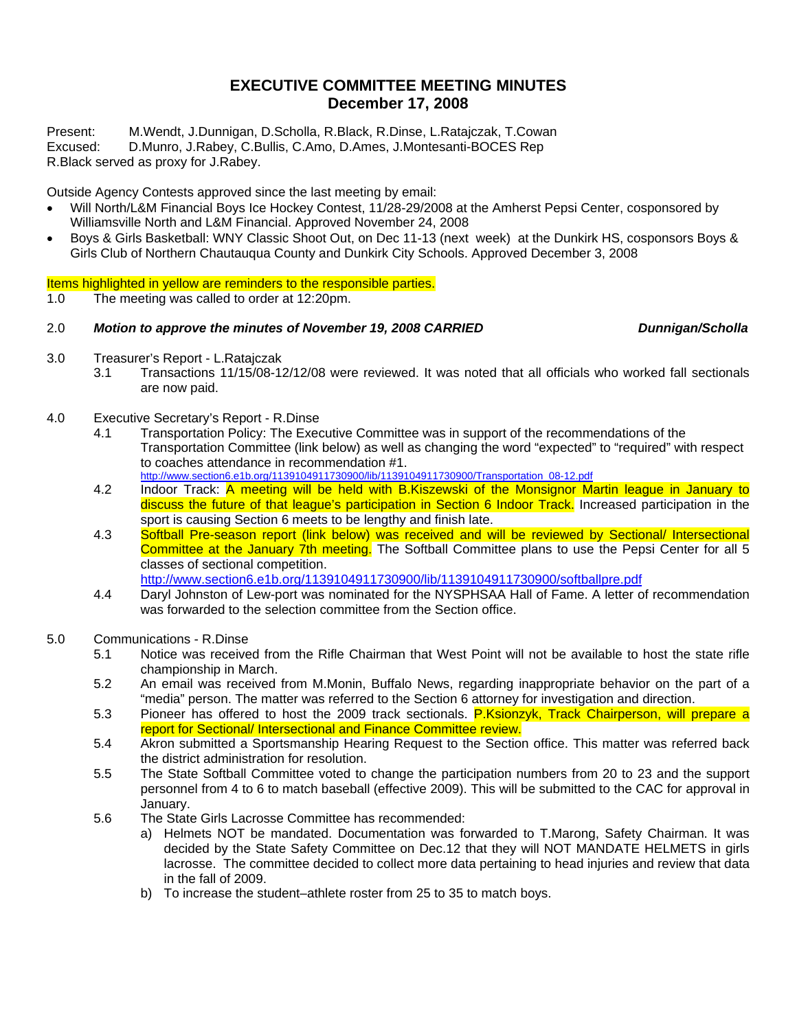## **EXECUTIVE COMMITTEE MEETING MINUTES December 17, 2008**

Present: M.Wendt, J.Dunnigan, D.Scholla, R.Black, R.Dinse, L.Ratajczak, T.Cowan

Excused: D.Munro, J.Rabey, C.Bullis, C.Amo, D.Ames, J.Montesanti-BOCES Rep R.Black served as proxy for J.Rabey.

Outside Agency Contests approved since the last meeting by email:

- Will North/L&M Financial Boys Ice Hockey Contest, 11/28-29/2008 at the Amherst Pepsi Center, cosponsored by Williamsville North and L&M Financial. Approved November 24, 2008
- Boys & Girls Basketball: WNY Classic Shoot Out, on Dec 11-13 (next week) at the Dunkirk HS, cosponsors Boys & Girls Club of Northern Chautauqua County and Dunkirk City Schools. Approved December 3, 2008

Items highlighted in yellow are reminders to the responsible parties.

1.0 The meeting was called to order at 12:20pm.

### 2.0 *Motion to approve the minutes of November 19, 2008 CARRIED Dunnigan/Scholla*

- 3.0 Treasurer's Report L.Ratajczak
	- 3.1 Transactions 11/15/08-12/12/08 were reviewed. It was noted that all officials who worked fall sectionals are now paid.
- 4.0 Executive Secretary's Report R.Dinse
	- 4.1 Transportation Policy: The Executive Committee was in support of the recommendations of the Transportation Committee (link below) as well as changing the word "expected" to "required" with respect to coaches attendance in recommendation #1. http://www.section6.e1b.org/1139104911730900/lib/1139104911730900/Transportation\_08-12.pdf
	- 4.2 Indoor Track: A meeting will be held with B.Kiszewski of the Monsignor Martin league in January to discuss the future of that league's participation in Section 6 Indoor Track. Increased participation in the sport is causing Section 6 meets to be lengthy and finish late.
	- 4.3 Softball Pre-season report (link below) was received and will be reviewed by Sectional/ Intersectional Committee at the January 7th meeting. The Softball Committee plans to use the Pepsi Center for all 5 classes of sectional competition.

http://www.section6.e1b.org/1139104911730900/lib/1139104911730900/softballpre.pdf

4.4 Daryl Johnston of Lew-port was nominated for the NYSPHSAA Hall of Fame. A letter of recommendation was forwarded to the selection committee from the Section office.

### 5.0 Communications - R.Dinse

- 5.1 Notice was received from the Rifle Chairman that West Point will not be available to host the state rifle championship in March.
- 5.2 An email was received from M.Monin, Buffalo News, regarding inappropriate behavior on the part of a "media" person. The matter was referred to the Section 6 attorney for investigation and direction.
- 5.3 Pioneer has offered to host the 2009 track sectionals. P.Ksionzyk, Track Chairperson, will prepare a report for Sectional/ Intersectional and Finance Committee review.
- 5.4 Akron submitted a Sportsmanship Hearing Request to the Section office. This matter was referred back the district administration for resolution.
- 5.5 The State Softball Committee voted to change the participation numbers from 20 to 23 and the support personnel from 4 to 6 to match baseball (effective 2009). This will be submitted to the CAC for approval in January.
- 5.6 The State Girls Lacrosse Committee has recommended:
	- a) Helmets NOT be mandated. Documentation was forwarded to T.Marong, Safety Chairman. It was decided by the State Safety Committee on Dec.12 that they will NOT MANDATE HELMETS in girls lacrosse. The committee decided to collect more data pertaining to head injuries and review that data in the fall of 2009.
	- b) To increase the student–athlete roster from 25 to 35 to match boys.